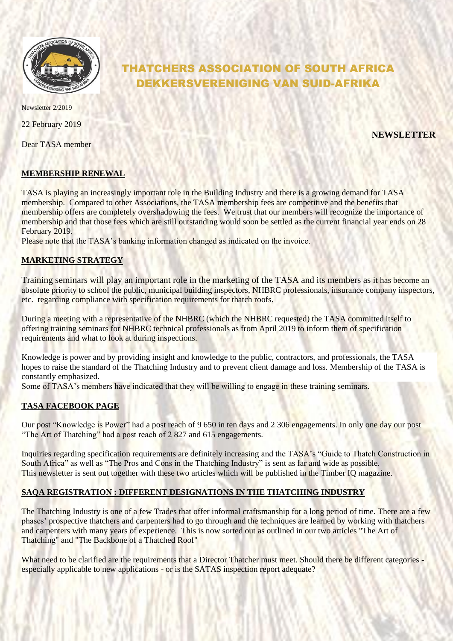

Newsletter 2/2019

22 February 2019

Dear TASA member

# THATCHERS ASSOCIATION OF SOUTH AFRICA DEKKERSVERENIGING VAN SUID-AFRIKA

**NEWSLETTER**

## **MEMBERSHIP RENEWAL**

TASA is playing an increasingly important role in the Building Industry and there is a growing demand for TASA membership. Compared to other Associations, the TASA membership fees are competitive and the benefits that membership offers are completely overshadowing the fees. We trust that our members will recognize the importance of membership and that those fees which are still outstanding would soon be settled as the current financial year ends on 28 February 2019.

Please note that the TASA's banking information changed as indicated on the invoice.

## **MARKETING STRATEGY**

Training seminars will play an important role in the marketing of the TASA and its members as it has become an absolute priority to school the public, municipal building inspectors, NHBRC professionals, insurance company inspectors, etc. regarding compliance with specification requirements for thatch roofs.

During a meeting with a representative of the NHBRC (which the NHBRC requested) the TASA committed itself to offering training seminars for NHBRC technical professionals as from April 2019 to inform them of specification requirements and what to look at during inspections.

Knowledge is power and by providing insight and knowledge to the public, contractors, and professionals, the TASA hopes to raise the standard of the Thatching Industry and to prevent client damage and loss. Membership of the TASA is constantly emphasized.

Some of TASA's members have indicated that they will be willing to engage in these training seminars.

## **TASA FACEBOOK PAGE**

Our post "Knowledge is Power" had a post reach of 9 650 in ten days and 2 306 engagements. In only one day our post "The Art of Thatching" had a post reach of 2 827 and 615 engagements.

Inquiries regarding specification requirements are definitely increasing and the TASA's "Guide to Thatch Construction in South Africa" as well as "The Pros and Cons in the Thatching Industry" is sent as far and wide as possible. This newsletter is sent out together with these two articles which will be published in the Timber IQ magazine.

## **SAQA REGISTRATION : DIFFERENT DESIGNATIONS IN THE THATCHING INDUSTRY**

The Thatching Industry is one of a few Trades that offer informal craftsmanship for a long period of time. There are a few phases' prospective thatchers and carpenters had to go through and the techniques are learned by working with thatchers and carpenters with many years of experience. This is now sorted out as outlined in our two articles "The Art of Thatching" and "The Backbone of a Thatched Roof"

What need to be clarified are the requirements that a Director Thatcher must meet. Should there be different categories especially applicable to new applications - or is the SATAS inspection report adequate?